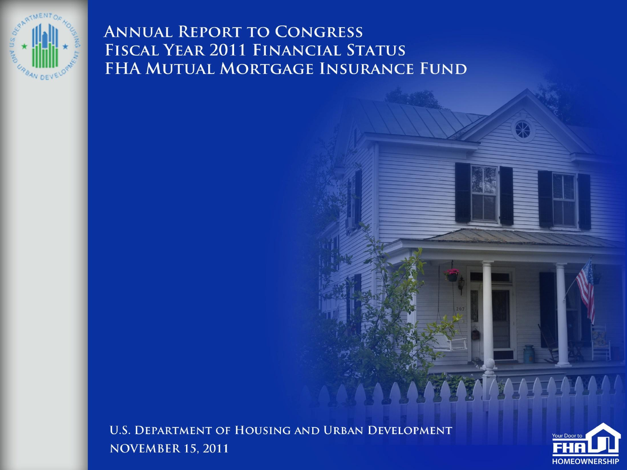

**ANNUAL REPORT TO CONGRESS** FISCAL YEAR 2011 FINANCIAL STATUS FHA MUTUAL MORTGAGE INSURANCE FUND

**U.S. DEPARTMENT OF HOUSING AND URBAN DEVELOPMENT NOVEMBER 15, 2011** 



AA I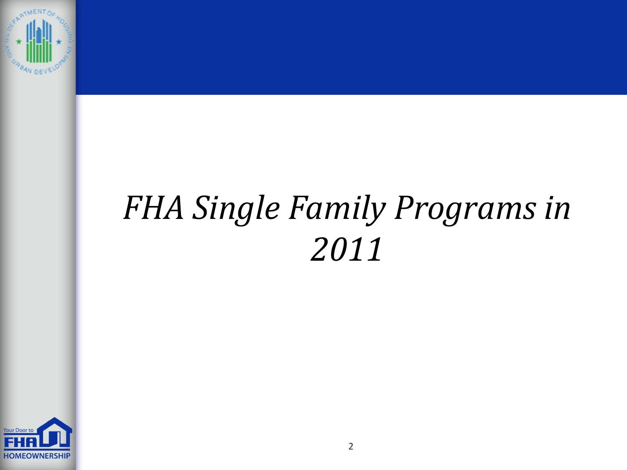

# *FHA Single Family Programs in*

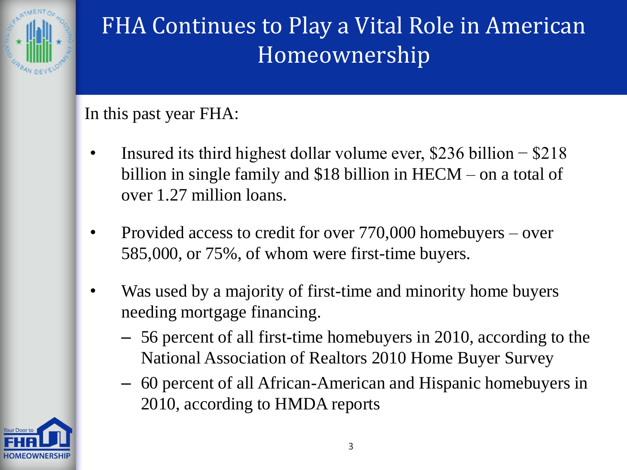

## FHA Continues to Play a Vital Role in American Homeownership

#### In this past year FHA:

- Insured its third highest dollar volume ever,  $$236$  billion  $-$  \$218 billion in single family and \$18 billion in HECM – on a total of over 1.27 million loans.
- Provided access to credit for over 770,000 homebuyers over 585,000, or 75%, of whom were first-time buyers.
- Was used by a majority of first-time and minority home buyers needing mortgage financing.
	- 56 percent of all first-time homebuyers in 2010, according to the National Association of Realtors 2010 Home Buyer Survey
	- 60 percent of all African-American and Hispanic homebuyers in 2010, according to HMDA reports

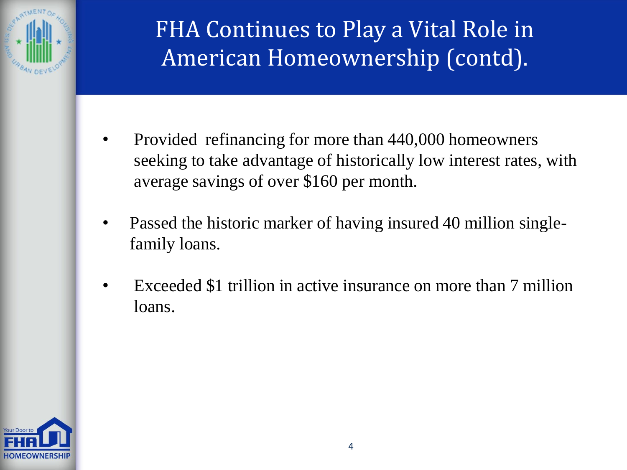

## FHA Continues to Play a Vital Role in American Homeownership (contd).

- Provided refinancing for more than 440,000 homeowners seeking to take advantage of historically low interest rates, with average savings of over \$160 per month.
- Passed the historic marker of having insured 40 million singlefamily loans.
- Exceeded \$1 trillion in active insurance on more than 7 million loans.

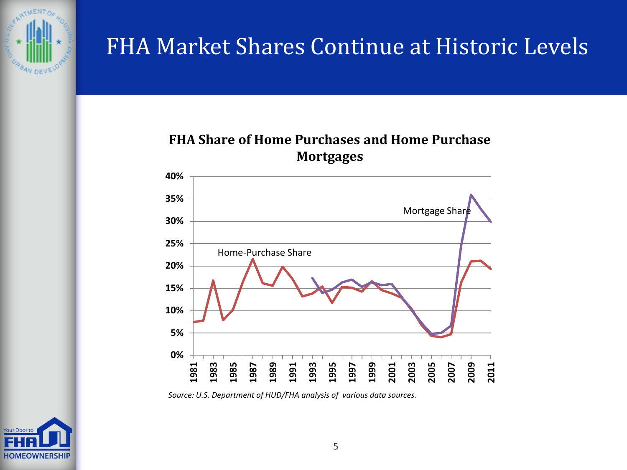

#### FHA Market Shares Continue at Historic Levels

#### **FHA Share of Home Purchases and Home Purchase Mortgages**



*Source: U.S. Department of HUD/FHA analysis of various data sources.*

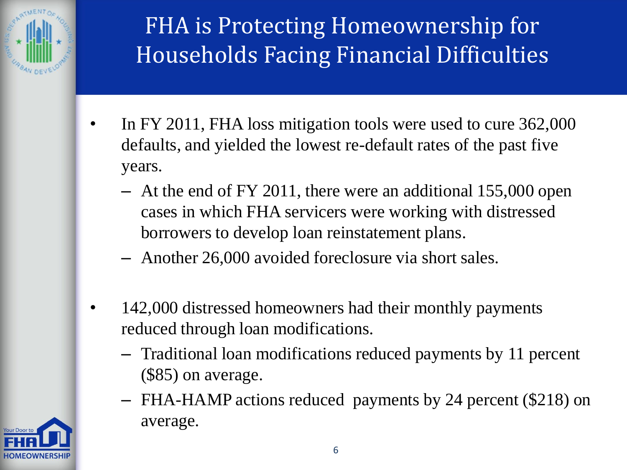

## FHA is Protecting Homeownership for Households Facing Financial Difficulties

- In FY 2011, FHA loss mitigation tools were used to cure 362,000 defaults, and yielded the lowest re-default rates of the past five years.
	- At the end of FY 2011, there were an additional 155,000 open cases in which FHA servicers were working with distressed borrowers to develop loan reinstatement plans.
	- Another 26,000 avoided foreclosure via short sales.
- 142,000 distressed homeowners had their monthly payments reduced through loan modifications.
	- Traditional loan modifications reduced payments by 11 percent (\$85) on average.
	- FHA-HAMP actions reduced payments by 24 percent (\$218) on average.

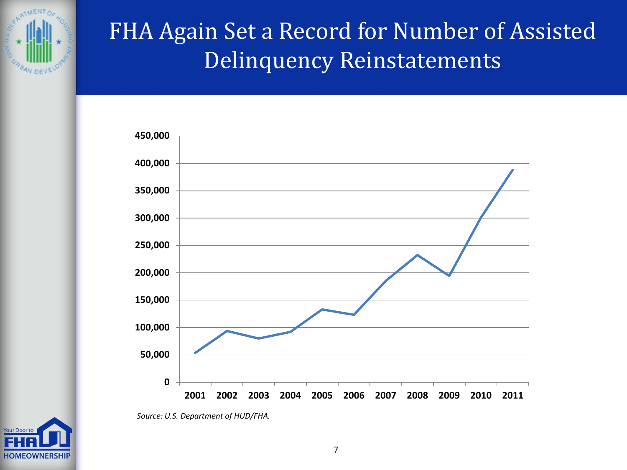

#### FHA Again Set a Record for Number of Assisted Delinquency Reinstatements



*Source: U.S. Department of HUD/FHA.*

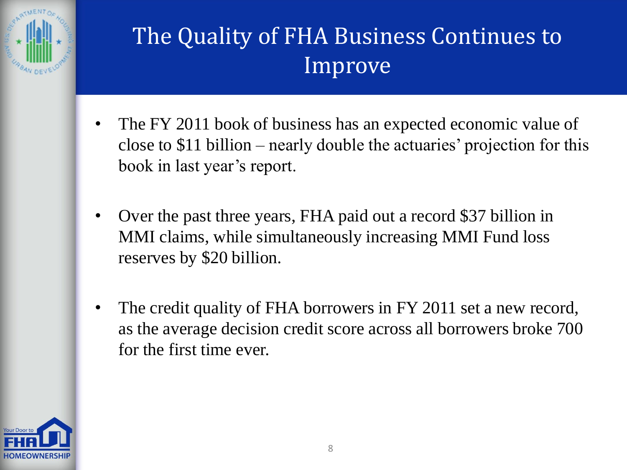

## The Quality of FHA Business Continues to Improve

- The FY 2011 book of business has an expected economic value of close to \$11 billion – nearly double the actuaries' projection for this book in last year's report.
- Over the past three years, FHA paid out a record \$37 billion in MMI claims, while simultaneously increasing MMI Fund loss reserves by \$20 billion.
- The credit quality of FHA borrowers in FY 2011 set a new record, as the average decision credit score across all borrowers broke 700 for the first time ever.

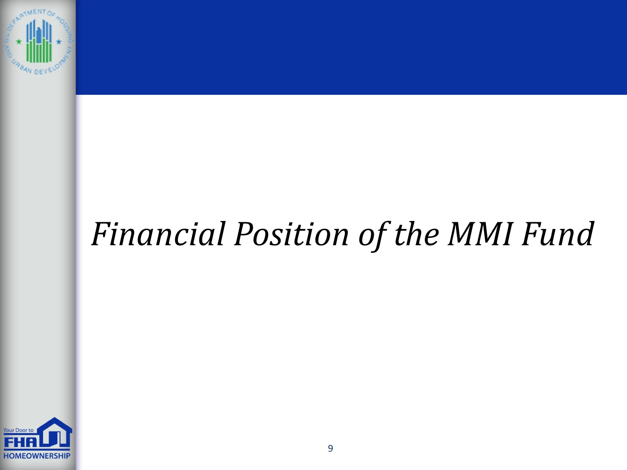

# *Financial Position of the MMI Fund*

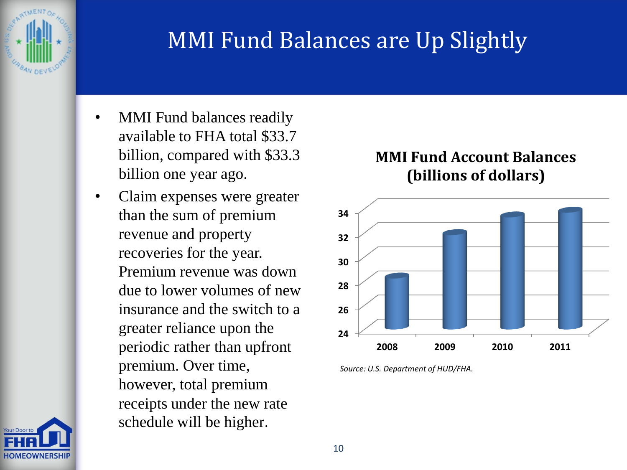

#### MMI Fund Balances are Up Slightly

- MMI Fund balances readily available to FHA total \$33.7 billion, compared with \$33.3 billion one year ago.
- Claim expenses were greater than the sum of premium revenue and property recoveries for the year. Premium revenue was down due to lower volumes of new insurance and the switch to a greater reliance upon the periodic rather than upfront premium. Over time, however, total premium receipts under the new rate schedule will be higher.

#### **MMI Fund Account Balances (billions of dollars)**



*Source: U.S. Department of HUD/FHA.*

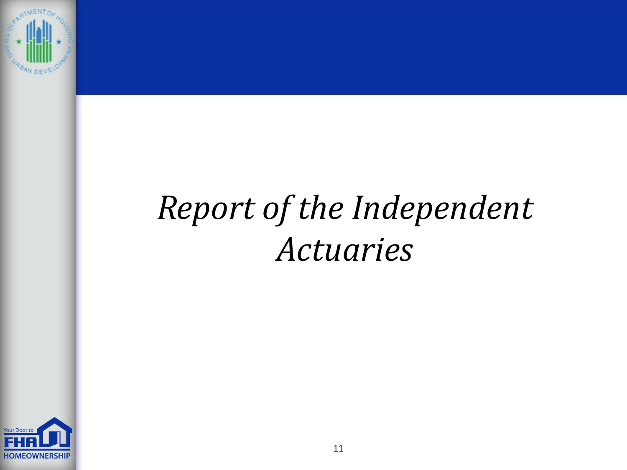

# *Report of the Independent Actuaries*

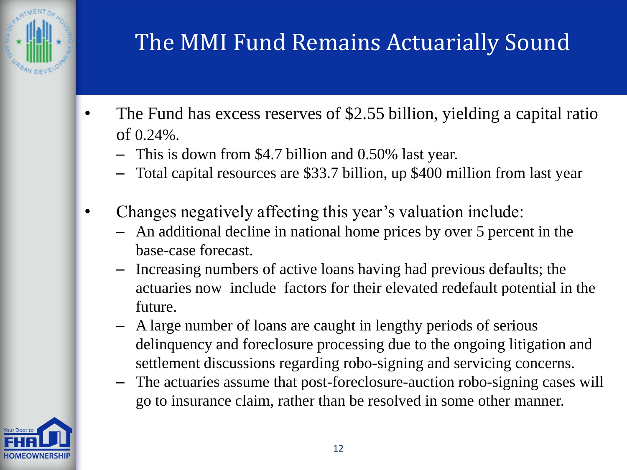

## The MMI Fund Remains Actuarially Sound

- The Fund has excess reserves of \$2.55 billion, yielding a capital ratio of 0.24%.
	- This is down from \$4.7 billion and 0.50% last year.
	- Total capital resources are \$33.7 billion, up \$400 million from last year
- Changes negatively affecting this year's valuation include:
	- An additional decline in national home prices by over 5 percent in the base-case forecast.
	- Increasing numbers of active loans having had previous defaults; the actuaries now include factors for their elevated redefault potential in the future.
	- A large number of loans are caught in lengthy periods of serious delinquency and foreclosure processing due to the ongoing litigation and settlement discussions regarding robo-signing and servicing concerns.
	- The actuaries assume that post-foreclosure-auction robo-signing cases will go to insurance claim, rather than be resolved in some other manner.

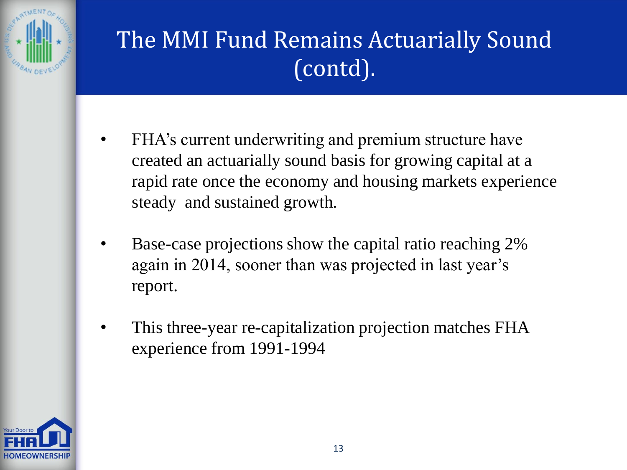

## The MMI Fund Remains Actuarially Sound (contd).

- FHA's current underwriting and premium structure have created an actuarially sound basis for growing capital at a rapid rate once the economy and housing markets experience steady and sustained growth.
- Base-case projections show the capital ratio reaching 2% again in 2014, sooner than was projected in last year's report.
- This three-year re-capitalization projection matches FHA experience from 1991-1994

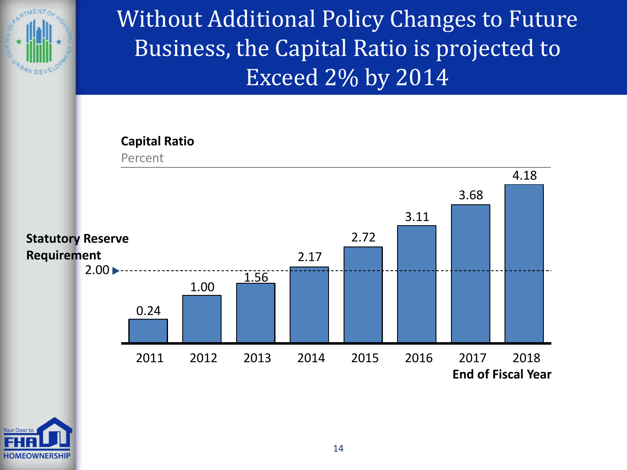

Without Additional Policy Changes to Future Business, the Capital Ratio is projected to Exceed 2% by 2014

#### **Capital Ratio**



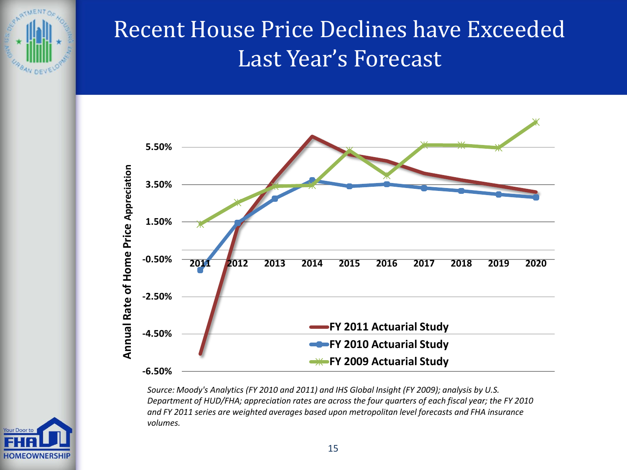

#### Recent House Price Declines have Exceeded Last Year's Forecast



*Source: Moody's Analytics (FY 2010 and 2011) and IHS Global Insight (FY 2009); analysis by U.S. Department of HUD/FHA; appreciation rates are across the four quarters of each fiscal year; the FY 2010 and FY 2011 series are weighted averages based upon metropolitan level forecasts and FHA insurance volumes.*

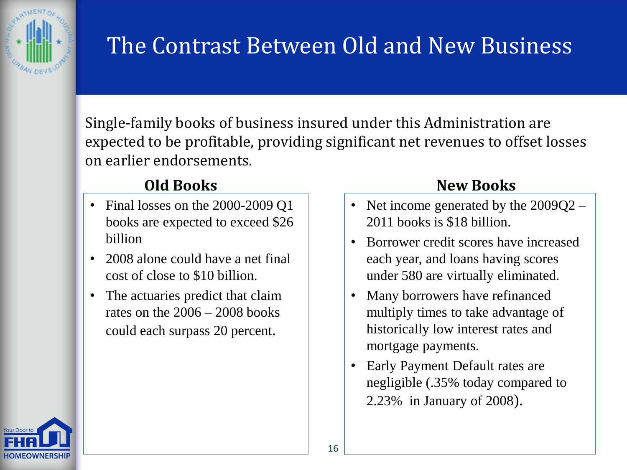

#### The Contrast Between Old and New Business

Single-family books of business insured under this Administration are expected to be profitable, providing significant net revenues to offset losses on earlier endorsements.

- Final losses on the 2000-2009 Q1 books are expected to exceed \$26 billion
- 2008 alone could have a net final cost of close to \$10 billion.
- The actuaries predict that claim rates on the  $2006 - 2008$  books could each surpass 20 percent.

#### **Old Books New Books**

- Net income generated by the  $2009Q2 -$ 2011 books is \$18 billion.
- Borrower credit scores have increased each year, and loans having scores under 580 are virtually eliminated.
- Many borrowers have refinanced multiply times to take advantage of historically low interest rates and mortgage payments.
- Early Payment Default rates are negligible (.35% today compared to 2.23% in January of 2008).

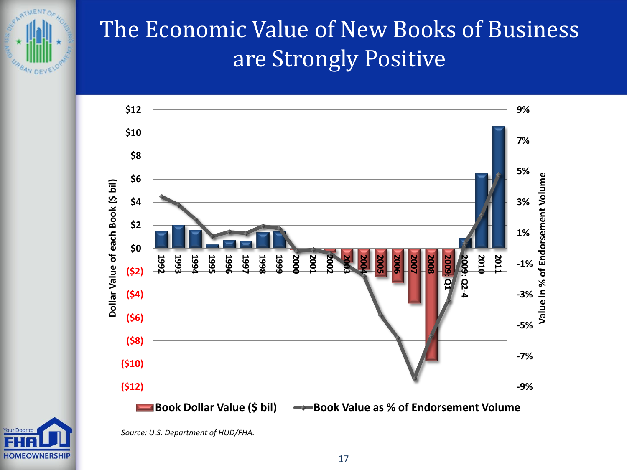

### The Economic Value of New Books of Business are Strongly Positive



**HOMEOWNERSHIP** 

*Source: U.S. Department of HUD/FHA.*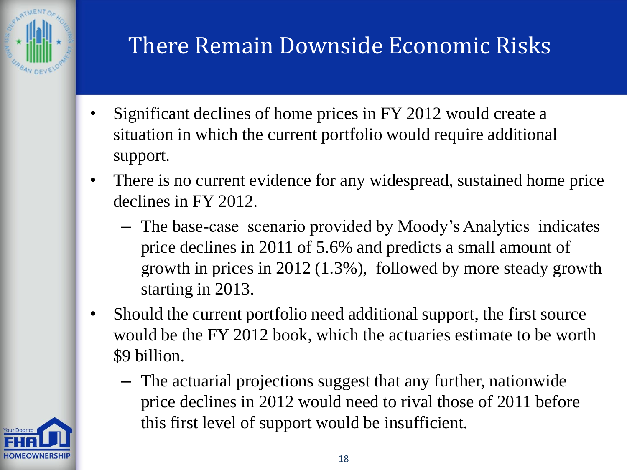

## There Remain Downside Economic Risks

- Significant declines of home prices in FY 2012 would create a situation in which the current portfolio would require additional support.
- There is no current evidence for any widespread, sustained home price declines in FY 2012.
	- The base-case scenario provided by Moody's Analytics indicates price declines in 2011 of 5.6% and predicts a small amount of growth in prices in 2012 (1.3%), followed by more steady growth starting in 2013.
- Should the current portfolio need additional support, the first source would be the FY 2012 book, which the actuaries estimate to be worth \$9 billion.
	- The actuarial projections suggest that any further, nationwide price declines in 2012 would need to rival those of 2011 before this first level of support would be insufficient.

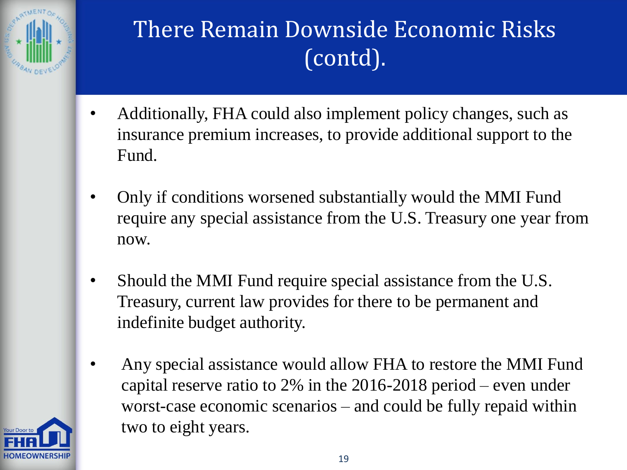

## There Remain Downside Economic Risks (contd).

- Additionally, FHA could also implement policy changes, such as insurance premium increases, to provide additional support to the Fund.
- Only if conditions worsened substantially would the MMI Fund require any special assistance from the U.S. Treasury one year from now.
- Should the MMI Fund require special assistance from the U.S. Treasury, current law provides for there to be permanent and indefinite budget authority.
- Any special assistance would allow FHA to restore the MMI Fund capital reserve ratio to 2% in the 2016-2018 period – even under worst-case economic scenarios – and could be fully repaid within two to eight years.

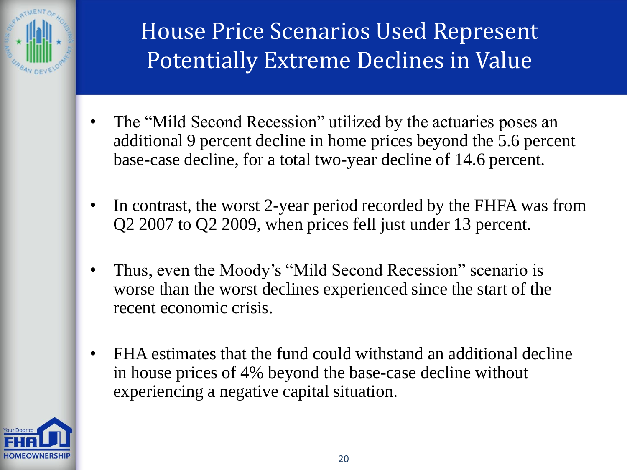

#### House Price Scenarios Used Represent Potentially Extreme Declines in Value

- The "Mild Second Recession" utilized by the actuaries poses an additional 9 percent decline in home prices beyond the 5.6 percent base-case decline, for a total two-year decline of 14.6 percent.
- In contrast, the worst 2-year period recorded by the FHFA was from Q2 2007 to Q2 2009, when prices fell just under 13 percent.
- Thus, even the Moody's "Mild Second Recession" scenario is worse than the worst declines experienced since the start of the recent economic crisis.
- FHA estimates that the fund could withstand an additional decline in house prices of 4% beyond the base-case decline without experiencing a negative capital situation.

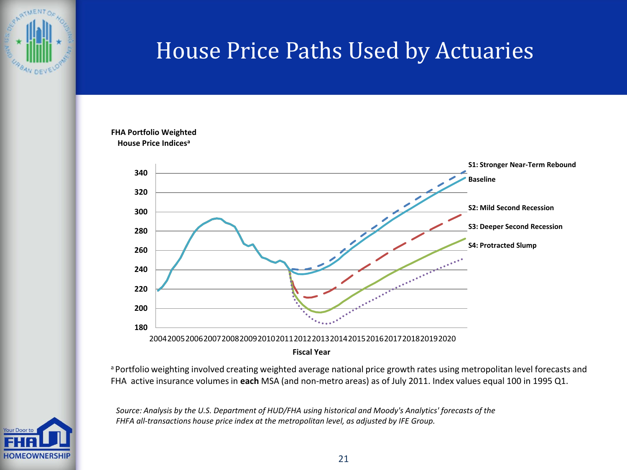

#### House Price Paths Used by Actuaries

#### **FHA Portfolio Weighted House Price Indices<sup>a</sup>**



a Portfolio weighting involved creating weighted average national price growth rates using metropolitan level forecasts and FHA active insurance volumes in **each** MSA (and non-metro areas) as of July 2011. Index values equal 100 in 1995 Q1.

*Source: Analysis by the U.S. Department of HUD/FHA using historical and Moody's Analytics' forecasts of the FHFA all-transactions house price index at the metropolitan level, as adjusted by IFE Group.*

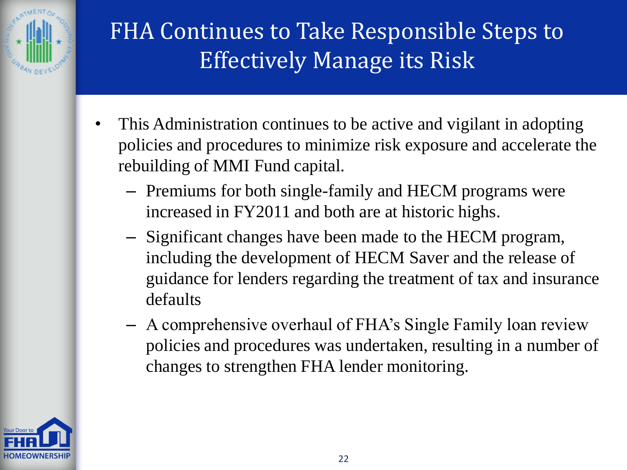

## FHA Continues to Take Responsible Steps to Effectively Manage its Risk

- This Administration continues to be active and vigilant in adopting policies and procedures to minimize risk exposure and accelerate the rebuilding of MMI Fund capital.
	- Premiums for both single-family and HECM programs were increased in FY2011 and both are at historic highs.
	- Significant changes have been made to the HECM program, including the development of HECM Saver and the release of guidance for lenders regarding the treatment of tax and insurance defaults
	- A comprehensive overhaul of FHA's Single Family loan review policies and procedures was undertaken, resulting in a number of changes to strengthen FHA lender monitoring.